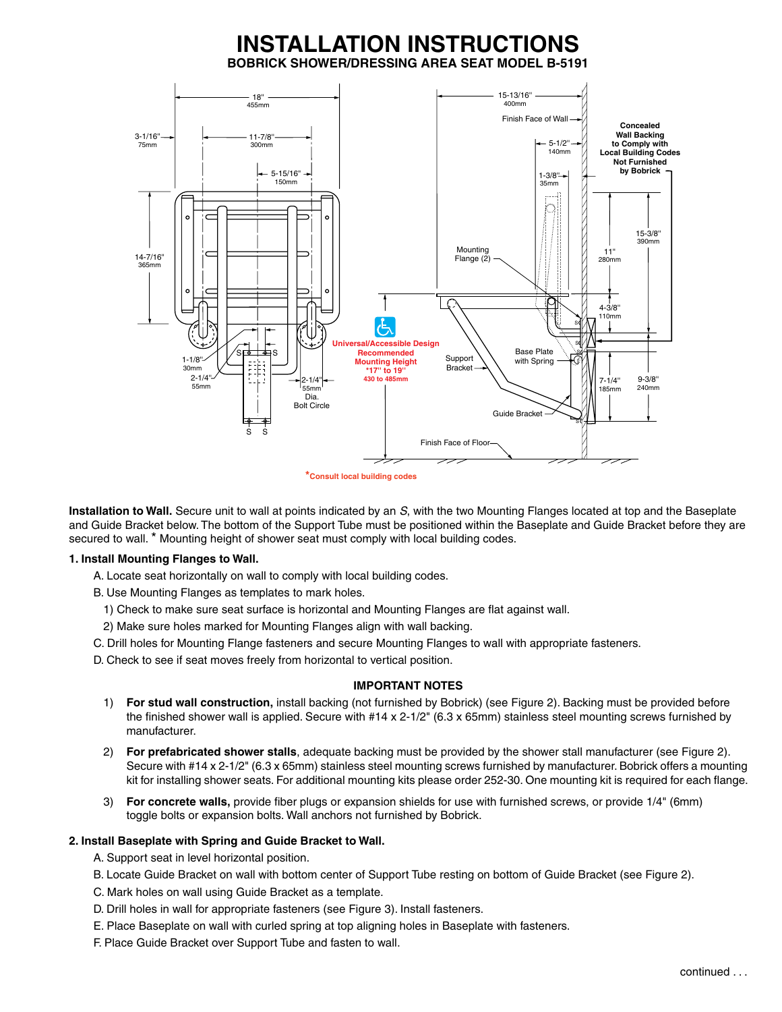# **INSTALLATION INSTRUCTIONS BOBRICK SHOWER/DRESSING AREA SEAT MODEL B-5191**



**\*Consult local building codes**

**Installation to Wall.** Secure unit to wall at points indicated by an *S*, with the two Mounting Flanges located at top and the Baseplate and Guide Bracket below. The bottom of the Support Tube must be positioned within the Baseplate and Guide Bracket before they are secured to wall. \* Mounting height of shower seat must comply with local building codes.

## **1. Install Mounting Flanges to Wall.**

A. Locate seat horizontally on wall to comply with local building codes.

B. Use Mounting Flanges as templates to mark holes.

- 1) Check to make sure seat surface is horizontal and Mounting Flanges are flat against wall.
- 2) Make sure holes marked for Mounting Flanges align with wall backing.
- C. Drill holes for Mounting Flange fasteners and secure Mounting Flanges to wall with appropriate fasteners.

D. Check to see if seat moves freely from horizontal to vertical position.

## **IMPORTANT NOTES**

- 1) **For stud wall construction,** install backing (not furnished by Bobrick) (see Figure 2). Backing must be provided before the finished shower wall is applied. Secure with #14 x 2-1/2" (6.3 x 65mm) stainless steel mounting screws furnished by manufacturer.
- 2) **For prefabricated shower stalls**, adequate backing must be provided by the shower stall manufacturer (see Figure 2). Secure with #14 x 2-1/2" (6.3 x 65mm) stainless steel mounting screws furnished by manufacturer. Bobrick offers a mounting kit for installing shower seats. For additional mounting kits please order 252-30. One mounting kit is required for each flange.
- 3) **For concrete walls,** provide fiber plugs or expansion shields for use with furnished screws, or provide 1/4" (6mm) toggle bolts or expansion bolts. Wall anchors not furnished by Bobrick.

## **2. Install Baseplate with Spring and Guide Bracket to Wall.**

- A. Support seat in level horizontal position.
- B. Locate Guide Bracket on wall with bottom center of Support Tube resting on bottom of Guide Bracket (see Figure 2).
- C. Mark holes on wall using Guide Bracket as a template.
- D. Drill holes in wall for appropriate fasteners (see Figure 3). Install fasteners.
- E. Place Baseplate on wall with curled spring at top aligning holes in Baseplate with fasteners.
- F. Place Guide Bracket over Support Tube and fasten to wall.